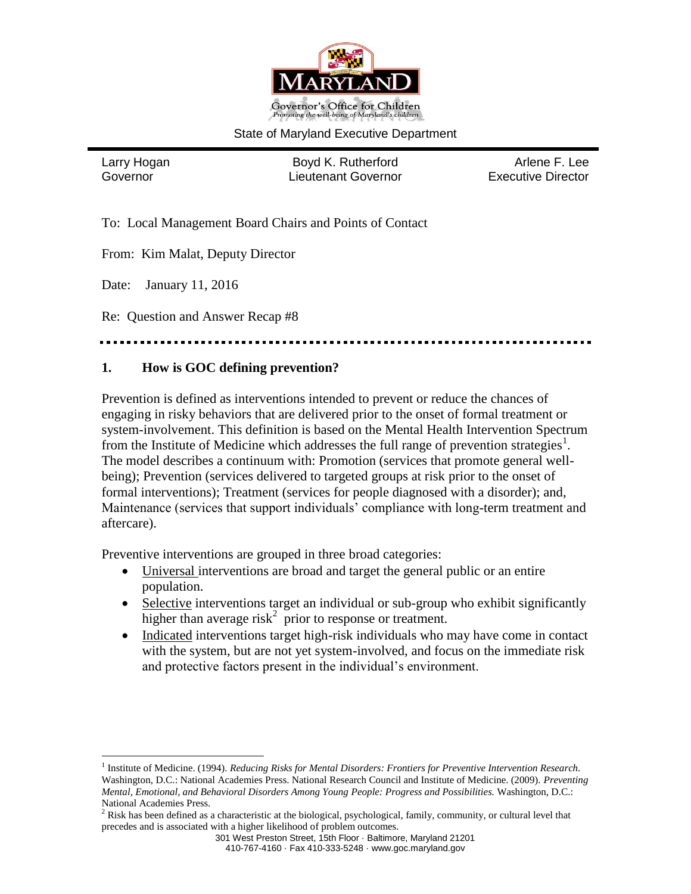

## State of Maryland Executive Department

 $\overline{a}$ 

Larry Hogan **Boyd K. Rutherford** Arlene F. Lee Governor Lieutenant Governor Executive Director

To: Local Management Board Chairs and Points of Contact

From: Kim Malat, Deputy Director

Date: January 11, 2016

Re: Question and Answer Recap #8

## **1. How is GOC defining prevention?**

Prevention is defined as interventions intended to prevent or reduce the chances of engaging in risky behaviors that are delivered prior to the onset of formal treatment or system-involvement. This definition is based on the Mental Health Intervention Spectrum from the Institute of Medicine which addresses the full range of prevention strategies<sup>1</sup>. The model describes a continuum with: Promotion (services that promote general wellbeing); Prevention (services delivered to targeted groups at risk prior to the onset of formal interventions); Treatment (services for people diagnosed with a disorder); and, Maintenance (services that support individuals' compliance with long-term treatment and aftercare).

Preventive interventions are grouped in three broad categories:

- Universal interventions are broad and target the general public or an entire population.
- Selective interventions target an individual or sub-group who exhibit significantly higher than average risk<sup>2</sup> prior to response or treatment.
- Indicated interventions target high-risk individuals who may have come in contact with the system, but are not yet system-involved, and focus on the immediate risk and protective factors present in the individual's environment.

<sup>&</sup>lt;sup>1</sup> Institute of Medicine. (1994). *Reducing Risks for Mental Disorders: Frontiers for Preventive Intervention Research.* Washington, D.C.: National Academies Press. National Research Council and Institute of Medicine. (2009). *Preventing Mental, Emotional, and Behavioral Disorders Among Young People: Progress and Possibilities.* Washington, D.C.: National Academies Press.

 $2$  Risk has been defined as a characteristic at the biological, psychological, family, community, or cultural level that precedes and is associated with a higher likelihood of problem outcomes.

<sup>301</sup> West Preston Street, 15th Floor · Baltimore, Maryland 21201

<sup>410-767-4160 ·</sup> Fax 410-333-5248 · www.goc.maryland.gov